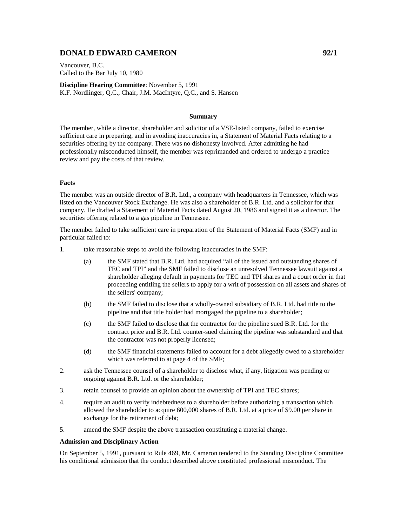## **DONALD EDWARD CAMERON** 92/1

Vancouver, B.C. Called to the Bar July 10, 1980

**Discipline Hearing Committee**: November 5, 1991 K.F. Nordlinger, Q.C., Chair, J.M. MacIntyre, Q.C., and S. Hansen

## **Summary**

The member, while a director, shareholder and solicitor of a VSE-listed company, failed to exercise sufficient care in preparing, and in avoiding inaccuracies in, a Statement of Material Facts relating to a securities offering by the company. There was no dishonesty involved. After admitting he had professionally misconducted himself, the member was reprimanded and ordered to undergo a practice review and pay the costs of that review.

## **Facts**

The member was an outside director of B.R. Ltd., a company with headquarters in Tennessee, which was listed on the Vancouver Stock Exchange. He was also a shareholder of B.R. Ltd. and a solicitor for that company. He drafted a Statement of Material Facts dated August 20, 1986 and signed it as a director. The securities offering related to a gas pipeline in Tennessee.

The member failed to take sufficient care in preparation of the Statement of Material Facts (SMF) and in particular failed to:

- 1. take reasonable steps to avoid the following inaccuracies in the SMF:
	- (a) the SMF stated that B.R. Ltd. had acquired "all of the issued and outstanding shares of TEC and TPI" and the SMF failed to disclose an unresolved Tennessee lawsuit against a shareholder alleging default in payments for TEC and TPI shares and a court order in that proceeding entitling the sellers to apply for a writ of possession on all assets and shares of the sellers' company;
	- (b) the SMF failed to disclose that a wholly-owned subsidiary of B.R. Ltd. had title to the pipeline and that title holder had mortgaged the pipeline to a shareholder;
	- (c) the SMF failed to disclose that the contractor for the pipeline sued B.R. Ltd. for the contract price and B.R. Ltd. counter-sued claiming the pipeline was substandard and that the contractor was not properly licensed;
	- (d) the SMF financial statements failed to account for a debt allegedly owed to a shareholder which was referred to at page 4 of the SMF;
- 2. ask the Tennessee counsel of a shareholder to disclose what, if any, litigation was pending or ongoing against B.R. Ltd. or the shareholder;
- 3. retain counsel to provide an opinion about the ownership of TPI and TEC shares;
- 4. require an audit to verify indebtedness to a shareholder before authorizing a transaction which allowed the shareholder to acquire 600,000 shares of B.R. Ltd. at a price of \$9.00 per share in exchange for the retirement of debt;
- 5. amend the SMF despite the above transaction constituting a material change.

## **Admission and Disciplinary Action**

On September 5, 1991, pursuant to Rule 469, Mr. Cameron tendered to the Standing Discipline Committee his conditional admission that the conduct described above constituted professional misconduct. The